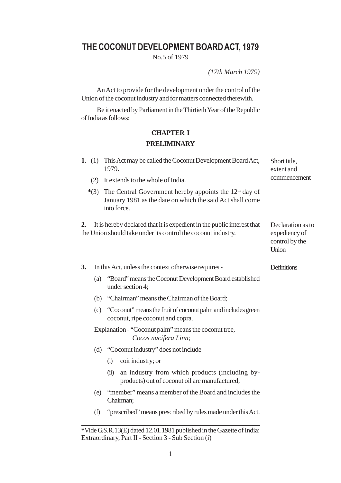# **THE COCONUT DEVELOPMENT BOARD ACT, 1979**

No.5 of 1979

*(17th March 1979)*

An Act to provide for the development under the control of the Union of the coconut industry and for matters connected therewith.

Be it enacted by Parliament in the Thirtieth Year of the Republic of India as follows:

## **CHAPTER I PRELIMINARY**

|                | 1. (1) This Act may be called the Coconut Development Board Act,<br>1979.                                                               | Short title,<br>extent and                                    |
|----------------|-----------------------------------------------------------------------------------------------------------------------------------------|---------------------------------------------------------------|
| (2)            | It extends to the whole of India.                                                                                                       | commencement                                                  |
| $*(3)$         | The Central Government hereby appoints the $12th$ day of<br>January 1981 as the date on which the said Act shall come<br>into force.    |                                                               |
| 2 <sub>1</sub> | It is hereby declared that it is expedient in the public interest that<br>the Union should take under its control the coconut industry. | Declaration as to<br>expediency of<br>control by the<br>Union |
| 3.             | In this Act, unless the context otherwise requires -                                                                                    | Definitions                                                   |
|                | "Board" means the Coconut Development Board established<br>(a)<br>under section 4;                                                      |                                                               |
|                | (b) "Chairman" means the Chairman of the Board;                                                                                         |                                                               |
|                | (c) "Coconut" means the fruit of coconut palm and includes green<br>coconut, ripe coconut and copra.                                    |                                                               |
|                | Explanation - "Coconut palm" means the coconut tree,<br>Cocos nucifera Linn;                                                            |                                                               |
|                | (d) "Coconut industry" does not include -                                                                                               |                                                               |
|                | coir industry; or<br>(i)                                                                                                                |                                                               |
|                | an industry from which products (including by-<br>(ii)<br>products) out of coconut oil are manufactured;                                |                                                               |
|                | (e) "member" means a member of the Board and includes the<br>Chairman;                                                                  |                                                               |
| (f)            | "prescribed" means prescribed by rules made under this Act.                                                                             |                                                               |
|                | *Vide GS R 13(E) dated 12.01 1981 published in the Gazette of India:                                                                    |                                                               |

**<sup>\*</sup>**Vide G.S.R.13(E) dated 12.01.1981 published in the Gazette of India: Extraordinary, Part II - Section 3 - Sub Section (i)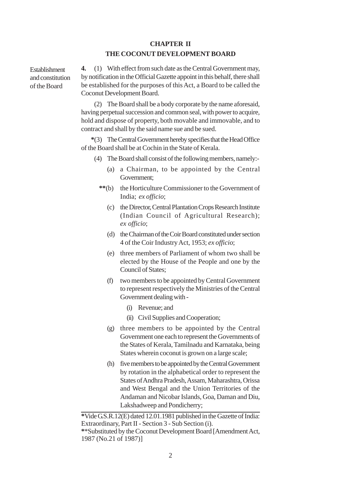### **CHAPTER II THE COCONUT DEVELOPMENT BOARD**

Establishment and constitution of the Board

**4.** (1) With effect from such date as the Central Government may, by notification in the Official Gazette appoint in this behalf, there shall be established for the purposes of this Act, a Board to be called the Coconut Development Board.

(2) The Board shall be a body corporate by the name aforesaid, having perpetual succession and common seal, with power to acquire, hold and dispose of property, both movable and immovable, and to contract and shall by the said name sue and be sued.

**\***(3) The Central Government hereby specifies that the Head Office of the Board shall be at Cochin in the State of Kerala.

- (4) The Board shall consist of the following members, namely:-
	- (a) a Chairman, to be appointed by the Central Government;
	- **\*\***(b) the Horticulture Commissioner to the Government of India; *ex officio*;
		- (c) the Director, Central Plantation Crops Research Institute (Indian Council of Agricultural Research); *ex officio*;
		- (d) the Chairman of the Coir Board constituted under section 4 of the Coir Industry Act, 1953; *ex officio*;
		- (e) three members of Parliament of whom two shall be elected by the House of the People and one by the Council of States;
		- (f) two members to be appointed by Central Government to represent respectively the Ministries of the Central Government dealing with -
			- (i) Revenue; and
			- (ii) Civil Supplies and Cooperation;
		- (g) three members to be appointed by the Central Government one each to represent the Governments of the States of Kerala, Tamilnadu and Karnataka, being States wherein coconut is grown on a large scale;
		- (h) five members to be appointed by the Central Government by rotation in the alphabetical order to represent the States of Andhra Pradesh, Assam, Maharashtra, Orissa and West Bengal and the Union Territories of the Andaman and Nicobar Islands, Goa, Daman and Diu, Lakshadweep and Pondicherry;

**<sup>\*</sup>**Vide G.S.R.12(E) dated 12.01.1981 published in the Gazette of India: Extraordinary, Part II - Section 3 - Sub Section (i).

**<sup>\*</sup>**\*Substituted by the Coconut Development Board [Amendment Act, 1987 (No.21 of 1987)]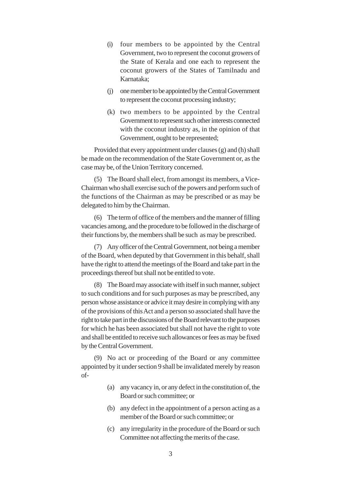- (i) four members to be appointed by the Central Government, two to represent the coconut growers of the State of Kerala and one each to represent the coconut growers of the States of Tamilnadu and Karnataka;
- (j) one member to be appointed by the Central Government to represent the coconut processing industry;
- (k) two members to be appointed by the Central Government to represent such other interests connected with the coconut industry as, in the opinion of that Government, ought to be represented;

Provided that every appointment under clauses (g) and (h) shall be made on the recommendation of the State Government or, as the case may be, of the Union Territory concerned.

(5) The Board shall elect, from amongst its members, a Vice-Chairman who shall exercise such of the powers and perform such of the functions of the Chairman as may be prescribed or as may be delegated to him by the Chairman.

(6) The term of office of the members and the manner of filling vacancies among, and the procedure to be followed in the discharge of their functions by, the members shall be such as may be prescribed.

(7) Any officer of the Central Government, not being a member of the Board, when deputed by that Government in this behalf, shall have the right to attend the meetings of the Board and take part in the proceedings thereof but shall not be entitled to vote.

(8) The Board may associate with itself in such manner, subject to such conditions and for such purposes as may be prescribed, any person whose assistance or advice it may desire in complying with any of the provisions of this Act and a person so associated shall have the right to take part in the discussions of the Board relevant to the purposes for which he has been associated but shall not have the right to vote and shall be entitled to receive such allowances or fees as may be fixed by the Central Government.

(9) No act or proceeding of the Board or any committee appointed by it under section 9 shall be invalidated merely by reason of-

- (a) any vacancy in, or any defect in the constitution of, the Board or such committee; or
- (b) any defect in the appointment of a person acting as a member of the Board or such committee; or
- (c) any irregularity in the procedure of the Board or such Committee not affecting the merits of the case.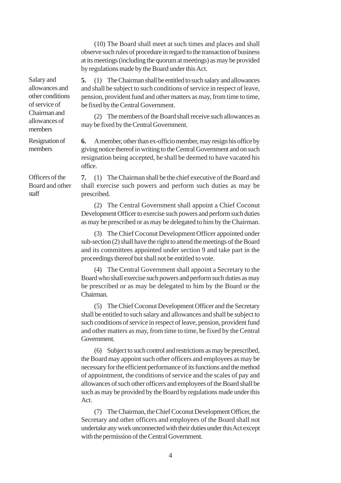(10) The Board shall meet at such times and places and shall observe such rules of procedure in regard to the transaction of business at its meetings (including the quorum at meetings) as may be provided by regulations made by the Board under this Act.

**5.** (1) The Chairman shall be entitled to such salary and allowances and shall be subject to such conditions of service in respect of leave, pension, provident fund and other matters as may, from time to time, be fixed by the Central Government.

(2) The members of the Board shall receive such allowances as may be fixed by the Central Government.

**6.** A member, other than ex-officio member, may resign his office by giving notice thereof in writing to the Central Government and on such resignation being accepted, he shall be deemed to have vacated his office.

**7.** (1) The Chairman shall be the chief executive of the Board and shall exercise such powers and perform such duties as may be prescribed.

(2) The Central Government shall appoint a Chief Coconut Development Officer to exercise such powers and perform such duties as may be prescribed or as may be delegated to him by the Chairman.

(3) The Chief Coconut Development Officer appointed under sub-section (2) shall have the right to attend the meetings of the Board and its committees appointed under section 9 and take part in the proceedings thereof but shall not be entitled to vote.

(4) The Central Government shall appoint a Secretary to the Board who shall exercise such powers and perform such duties as may be prescribed or as may be delegated to him by the Board or the Chairman.

(5) The Chief Coconut Development Officer and the Secretary shall be entitled to such salary and allowances and shall be subject to such conditions of service in respect of leave, pension, provident fund and other matters as may, from time to time, be fixed by the Central Government.

(6) Subject to such control and restrictions as may be prescribed, the Board may appoint such other officers and employees as may be necessary for the efficient performance of its functions and the method of appointment, the conditions of service and the scales of pay and allowances of such other officers and employees of the Board shall be such as may be provided by the Board by regulations made under this Act.

(7) The Chairman, the Chief Coconut Development Officer, the Secretary and other officers and employees of the Board shall not undertake any work unconnected with their duties under this Act except with the permission of the Central Government.

Salary and allowances and other conditions of service of Chairman and allowances of members

Resignation of members

Officers of the Board and other staff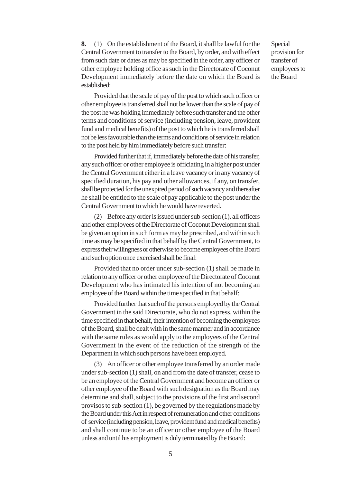Special provision for transfer of employees to the Board

**8.** (1) On the establishment of the Board, it shall be lawful for the Central Government to transfer to the Board, by order, and with effect from such date or dates as may be specified in the order, any officer or other employee holding office as such in the Directorate of Coconut Development immediately before the date on which the Board is established:

Provided that the scale of pay of the post to which such officer or other employee is transferred shall not be lower than the scale of pay of the post he was holding immediately before such transfer and the other terms and conditions of service (including pension, leave, provident fund and medical benefits) of the post to which he is transferred shall not be less favourable than the terms and conditions of service in relation to the post held by him immediately before such transfer:

Provided further that if, immediately before the date of his transfer, any such officer or other employee is officiating in a higher post under the Central Government either in a leave vacancy or in any vacancy of specified duration, his pay and other allowances, if any, on transfer, shall be protected for the unexpired period of such vacancy and thereafter he shall be entitled to the scale of pay applicable to the post under the Central Government to which he would have reverted.

(2) Before any order is issued under sub-section (1), all officers and other employees of the Directorate of Coconut Development shall be given an option in such form as may be prescribed, and within such time as may be specified in that behalf by the Central Government, to express their willingness or otherwise to become employees of the Board and such option once exercised shall be final:

Provided that no order under sub-section (1) shall be made in relation to any officer or other employee of the Directorate of Coconut Development who has intimated his intention of not becoming an employee of the Board within the time specified in that behalf:

Provided further that such of the persons employed by the Central Government in the said Directorate, who do not express, within the time specified in that behalf, their intention of becoming the employees of the Board, shall be dealt with in the same manner and in accordance with the same rules as would apply to the employees of the Central Government in the event of the reduction of the strength of the Department in which such persons have been employed.

(3) An officer or other employee transferred by an order made under sub-section (1) shall, on and from the date of transfer, cease to be an employee of the Central Government and become an officer or other employee of the Board with such designation as the Board may determine and shall, subject to the provisions of the first and second provisos to sub-section (1), be governed by the regulations made by the Board under this Act in respect of remuneration and other conditions of service (including pension, leave, provident fund and medical benefits) and shall continue to be an officer or other employee of the Board unless and until his employment is duly terminated by the Board: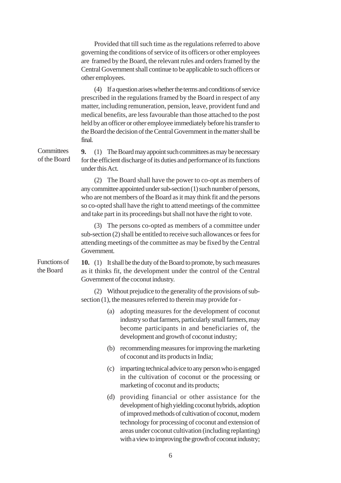Provided that till such time as the regulations referred to above governing the conditions of service of its officers or other employees are framed by the Board, the relevant rules and orders framed by the Central Government shall continue to be applicable to such officers or other employees.

(4) If a question arises whether the terms and conditions of service prescribed in the regulations framed by the Board in respect of any matter, including remuneration, pension, leave, provident fund and medical benefits, are less favourable than those attached to the post held by an officer or other employee immediately before his transfer to the Board the decision of the Central Government in the matter shall be final.

**9.** (1) The Board may appoint such committees as may be necessary for the efficient discharge of its duties and performance of its functions under this Act. **Committees** of the Board

> (2) The Board shall have the power to co-opt as members of any committee appointed under sub-section (1) such number of persons, who are not members of the Board as it may think fit and the persons so co-opted shall have the right to attend meetings of the committee and take part in its proceedings but shall not have the right to vote.

> (3) The persons co-opted as members of a committee under sub-section (2) shall be entitled to receive such allowances or fees for attending meetings of the committee as may be fixed by the Central Government.

Functions of the Board

**10.** (1) It shall be the duty of the Board to promote, by such measures as it thinks fit, the development under the control of the Central Government of the coconut industry.

(2) Without prejudice to the generality of the provisions of subsection (1), the measures referred to therein may provide for -

- (a) adopting measures for the development of coconut industry so that farmers, particularly small farmers, may become participants in and beneficiaries of, the development and growth of coconut industry;
- (b) recommending measures for improving the marketing of coconut and its products in India;
- (c) imparting technical advice to any person who is engaged in the cultivation of coconut or the processing or marketing of coconut and its products;
- (d) providing financial or other assistance for the development of high yielding coconut hybrids, adoption of improved methods of cultivation of coconut, modern technology for processing of coconut and extension of areas under coconut cultivation (including replanting) with a view to improving the growth of coconut industry;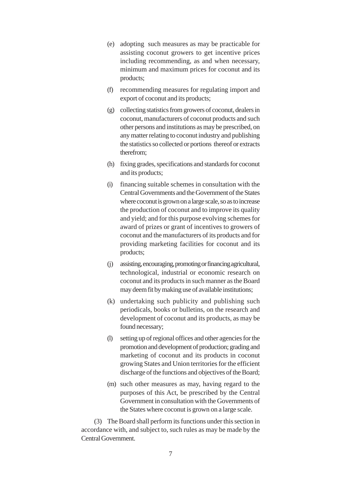- (e) adopting such measures as may be practicable for assisting coconut growers to get incentive prices including recommending, as and when necessary, minimum and maximum prices for coconut and its products;
- (f) recommending measures for regulating import and export of coconut and its products;
- (g) collecting statistics from growers of coconut, dealers in coconut, manufacturers of coconut products and such other persons and institutions as may be prescribed, on any matter relating to coconut industry and publishing the statistics so collected or portions thereof or extracts therefrom;
- (h) fixing grades, specifications and standards for coconut and its products;
- (i) financing suitable schemes in consultation with the Central Governments and the Government of the States where coconut is grown on a large scale, so as to increase the production of coconut and to improve its quality and yield; and for this purpose evolving schemes for award of prizes or grant of incentives to growers of coconut and the manufacturers of its products and for providing marketing facilities for coconut and its products;
- (j) assisting, encouraging, promoting or financing agricultural, technological, industrial or economic research on coconut and its products in such manner as the Board may deem fit by making use of available institutions;
- (k) undertaking such publicity and publishing such periodicals, books or bulletins, on the research and development of coconut and its products, as may be found necessary;
- (l) setting up of regional offices and other agencies for the promotion and development of production; grading and marketing of coconut and its products in coconut growing States and Union territories for the efficient discharge of the functions and objectives of the Board;
- (m) such other measures as may, having regard to the purposes of this Act, be prescribed by the Central Government in consultation with the Governments of the States where coconut is grown on a large scale.

(3) The Board shall perform its functions under this section in accordance with, and subject to, such rules as may be made by the Central Government.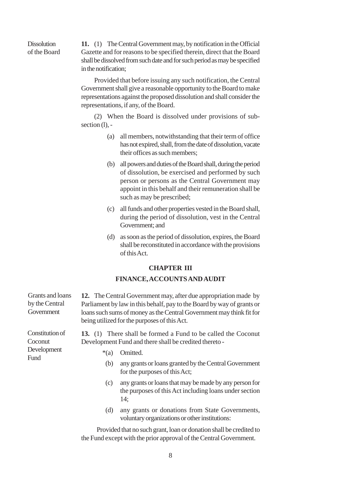**Dissolution** of the Board **11.** (1) The Central Government may, by notification in the Official Gazette and for reasons to be specified therein, direct that the Board shall be dissolved from such date and for such period as may be specified in the notification;

Provided that before issuing any such notification, the Central Government shall give a reasonable opportunity to the Board to make representations against the proposed dissolution and shall consider the representations, if any, of the Board.

(2) When the Board is dissolved under provisions of subsection  $(l)$ , -

- (a) all members, notwithstanding that their term of office has not expired, shall, from the date of dissolution, vacate their offices as such members;
- (b) all powers and duties of the Board shall, during the period of dissolution, be exercised and performed by such person or persons as the Central Government may appoint in this behalf and their remuneration shall be such as may be prescribed;
- (c) all funds and other properties vested in the Board shall, during the period of dissolution, vest in the Central Government; and
- (d) as soon as the period of dissolution, expires, the Board shall be reconstituted in accordance with the provisions of this Act.

#### **CHAPTER III**

#### **FINANCE, ACCOUNTS AND AUDIT**

| Grants and loans<br>by the Central<br>Government | 12. The Central Government may, after due appropriation made by<br>Parliament by law in this behalf, pay to the Board by way of grants or<br>loans such sums of money as the Central Government may think fit for<br>being utilized for the purposes of this Act. |  |
|--------------------------------------------------|-------------------------------------------------------------------------------------------------------------------------------------------------------------------------------------------------------------------------------------------------------------------|--|
| Constitution of<br>Coconut<br>Development        | <b>13.</b> (1) There shall be formed a Fund to be called the Coconut<br>Development Fund and there shall be credited thereto -<br>Omitted.<br>$*(a)$                                                                                                              |  |
| Fund                                             | any grants or loans granted by the Central Government<br>(b)<br>for the purposes of this Act;                                                                                                                                                                     |  |
|                                                  | any grants or loans that may be made by any person for<br>(c)<br>the purposes of this Act including loans under section<br>14:                                                                                                                                    |  |
|                                                  | any grants or donations from State Governments,<br>(d)<br>voluntary organizations or other institutions:                                                                                                                                                          |  |

Provided that no such grant, loan or donation shall be credited to the Fund except with the prior approval of the Central Government.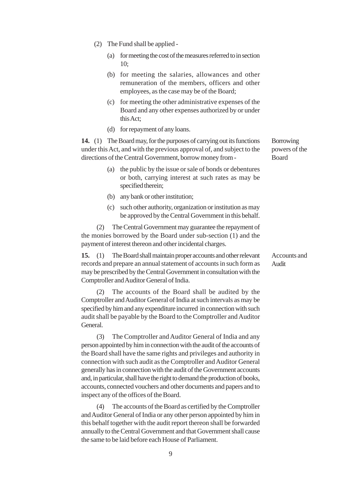- (2) The Fund shall be applied
	- (a) for meeting the cost of the measures referred to in section 10;
	- (b) for meeting the salaries, allowances and other remuneration of the members, officers and other employees, as the case may be of the Board;
	- (c) for meeting the other administrative expenses of the Board and any other expenses authorized by or under this Act;
	- (d) for repayment of any loans.

**14.** (1) The Board may, for the purposes of carrying out its functions under this Act, and with the previous approval of, and subject to the directions of the Central Government, borrow money from -

- (a) the public by the issue or sale of bonds or debentures or both, carrying interest at such rates as may be specified therein;
- (b) any bank or other institution;
- (c) such other authority, organization or institution as may be approved by the Central Government in this behalf.

(2) The Central Government may guarantee the repayment of the monies borrowed by the Board under sub-section (1) and the payment of interest thereon and other incidental charges.

**15.** (1) The Board shall maintain proper accounts and other relevant records and prepare an annual statement of accounts in such form as may be prescribed by the Central Government in consultation with the Comptroller and Auditor General of India.

(2) The accounts of the Board shall be audited by the Comptroller and Auditor General of India at such intervals as may be specified by him and any expenditure incurred in connection with such audit shall be payable by the Board to the Comptroller and Auditor General.

(3) The Comptroller and Auditor General of India and any person appointed by him in connection with the audit of the accounts of the Board shall have the same rights and privileges and authority in connection with such audit as the Comptroller and Auditor General generally has in connection with the audit of the Government accounts and, in particular, shall have the right to demand the production of books, accounts, connected vouchers and other documents and papers and to inspect any of the offices of the Board.

(4) The accounts of the Board as certified by the Comptroller and Auditor General of India or any other person appointed by him in this behalf together with the audit report thereon shall be forwarded annually to the Central Government and that Government shall cause the same to be laid before each House of Parliament.

Borrowing powers of the Board

Accounts and Audit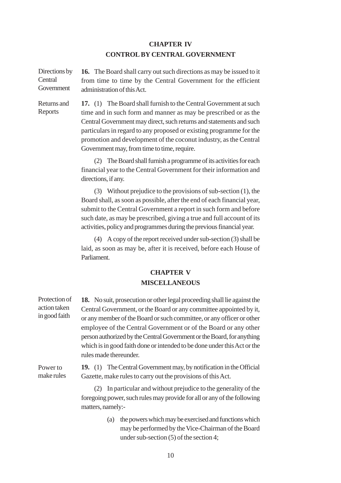## **CHAPTER IV CONTROL BY CENTRAL GOVERNMENT**

**16.** The Board shall carry out such directions as may be issued to it from time to time by the Central Government for the efficient administration of this Act. Directions by **Central Government** 

Returns and Reports

**17.** (1) The Board shall furnish to the Central Government at such time and in such form and manner as may be prescribed or as the Central Government may direct, such returns and statements and such particulars in regard to any proposed or existing programme for the promotion and development of the coconut industry, as the Central Government may, from time to time, require.

(2) The Board shall furnish a programme of its activities for each financial year to the Central Government for their information and directions, if any.

(3) Without prejudice to the provisions of sub-section (1), the Board shall, as soon as possible, after the end of each financial year, submit to the Central Government a report in such form and before such date, as may be prescribed, giving a true and full account of its activities, policy and programmes during the previous financial year.

(4) A copy of the report received under sub-section (3) shall be laid, as soon as may be, after it is received, before each House of Parliament.

## **CHAPTER V MISCELLANEOUS**

| Protection of | 18. No suit, prosecution or other legal proceeding shall lie against the                                                                                                                                                                        |
|---------------|-------------------------------------------------------------------------------------------------------------------------------------------------------------------------------------------------------------------------------------------------|
| action taken  | Central Government, or the Board or any committee appointed by it,                                                                                                                                                                              |
| in good faith | or any member of the Board or such committee, or any officer or other                                                                                                                                                                           |
|               | employee of the Central Government or of the Board or any other<br>person authorized by the Central Government or the Board, for anything<br>which is in good faith done or intended to be done under this Act or the<br>rules made thereunder. |
| Power to      | 19. (1) The Central Government may, by notification in the Official                                                                                                                                                                             |
| make rules    | Gazette, make rules to carry out the provisions of this Act.                                                                                                                                                                                    |
|               | In particular and without prejudice to the generality of the                                                                                                                                                                                    |

foregoing power, such rules may provide for all or any of the following matters, namely:-

> (a) the powers which may be exercised and functions which may be performed by the Vice-Chairman of the Board under sub-section (5) of the section 4;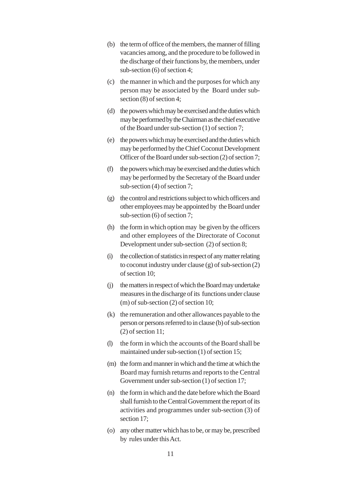- (b) the term of office of the members, the manner of filling vacancies among, and the procedure to be followed in the discharge of their functions by, the members, under sub-section (6) of section 4;
- (c) the manner in which and the purposes for which any person may be associated by the Board under subsection (8) of section 4;
- (d) the powers which may be exercised and the duties which may be performed by the Chairman as the chief executive of the Board under sub-section (1) of section 7;
- (e) the powers which may be exercised and the duties which may be performed by the Chief Coconut Development Officer of the Board under sub-section (2) of section 7;
- (f) the powers which may be exercised and the duties which may be performed by the Secretary of the Board under sub-section (4) of section 7;
- (g) the control and restrictions subject to which officers and other employees may be appointed by the Board under sub-section (6) of section 7;
- (h) the form in which option may be given by the officers and other employees of the Directorate of Coconut Development under sub-section (2) of section 8;
- (i) the collection of statistics in respect of any matter relating to coconut industry under clause (g) of sub-section (2) of section 10;
- (j) the matters in respect of which the Board may undertake measures in the discharge of its functions under clause (m) of sub-section (2) of section 10;
- (k) the remuneration and other allowances payable to the person or persons referred to in clause (b) of sub-section (2) of section 11;
- (l) the form in which the accounts of the Board shall be maintained under sub-section (1) of section 15;
- (m) the form and manner in which and the time at which the Board may furnish returns and reports to the Central Government under sub-section (1) of section 17;
- (n) the form in which and the date before which the Board shall furnish to the Central Government the report of its activities and programmes under sub-section (3) of section 17;
- (o) any other matter which has to be, or may be, prescribed by rules under this Act.